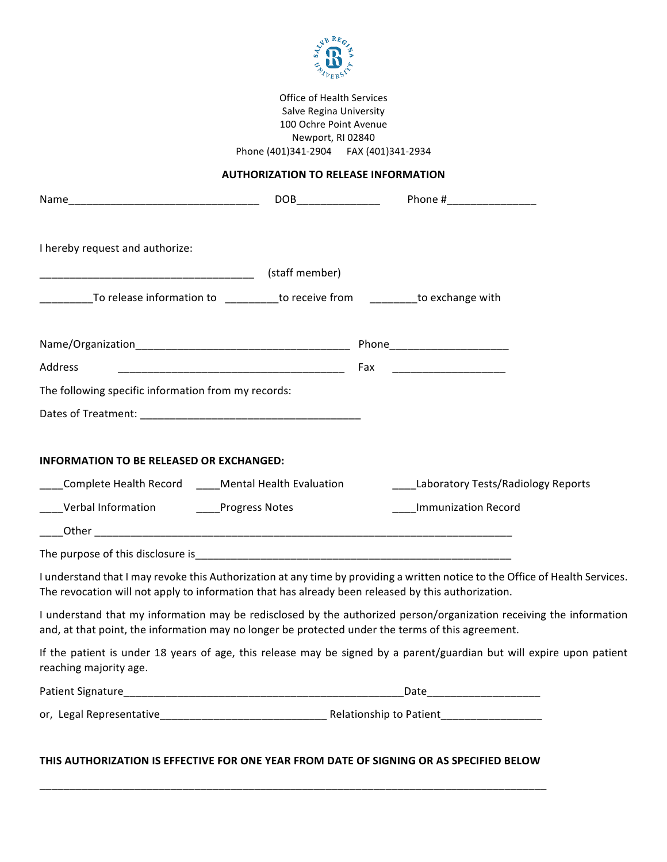

Office of Health Services Salve Regina University 100 Ochre Point Avenue Newport, RI 02840 Phone (401)341-2904 FAX (401)341-2934

## **AUTHORIZATION TO RELEASE INFORMATION**

|                                                                                                                                                    | DOB and the contract of the contract of the contract of the contract of the contract of the contract of the contract of the contract of the contract of the contract of the contract of the contract of the contract of the co |  | Phone #__________________                                                                                                     |
|----------------------------------------------------------------------------------------------------------------------------------------------------|--------------------------------------------------------------------------------------------------------------------------------------------------------------------------------------------------------------------------------|--|-------------------------------------------------------------------------------------------------------------------------------|
| I hereby request and authorize:                                                                                                                    |                                                                                                                                                                                                                                |  |                                                                                                                               |
|                                                                                                                                                    |                                                                                                                                                                                                                                |  |                                                                                                                               |
| ____________To release information to ___________to receive from __________to exchange with                                                        |                                                                                                                                                                                                                                |  |                                                                                                                               |
|                                                                                                                                                    |                                                                                                                                                                                                                                |  |                                                                                                                               |
| Address                                                                                                                                            | <u> 1989 - Johann John Stone, mars eta biztanleria (h. 1989).</u>                                                                                                                                                              |  | Fax __________________________                                                                                                |
| The following specific information from my records:                                                                                                |                                                                                                                                                                                                                                |  |                                                                                                                               |
|                                                                                                                                                    |                                                                                                                                                                                                                                |  |                                                                                                                               |
| INFORMATION TO BE RELEASED OR EXCHANGED:<br>____Complete Health Record _____Mental Health Evaluation<br>____Verbal Information _____Progress Notes |                                                                                                                                                                                                                                |  | ____Laboratory Tests/Radiology Reports<br><b>Immunization Record</b>                                                          |
| The purpose of this disclosure is entertainment of the purpose of this disclosure is a set of the purpose of this disclosure is                    |                                                                                                                                                                                                                                |  |                                                                                                                               |
| The revocation will not apply to information that has already been released by this authorization.                                                 |                                                                                                                                                                                                                                |  | I understand that I may revoke this Authorization at any time by providing a written notice to the Office of Health Services. |
| and, at that point, the information may no longer be protected under the terms of this agreement.                                                  |                                                                                                                                                                                                                                |  | I understand that my information may be redisclosed by the authorized person/organization receiving the information           |
| reaching majority age.                                                                                                                             |                                                                                                                                                                                                                                |  | If the patient is under 18 years of age, this release may be signed by a parent/guardian but will expire upon patient         |
|                                                                                                                                                    |                                                                                                                                                                                                                                |  | _Date________________________                                                                                                 |
|                                                                                                                                                    |                                                                                                                                                                                                                                |  |                                                                                                                               |
|                                                                                                                                                    |                                                                                                                                                                                                                                |  |                                                                                                                               |

## THIS AUTHORIZATION IS EFFECTIVE FOR ONE YEAR FROM DATE OF SIGNING OR AS SPECIFIED BELOW

\_\_\_\_\_\_\_\_\_\_\_\_\_\_\_\_\_\_\_\_\_\_\_\_\_\_\_\_\_\_\_\_\_\_\_\_\_\_\_\_\_\_\_\_\_\_\_\_\_\_\_\_\_\_\_\_\_\_\_\_\_\_\_\_\_\_\_\_\_\_\_\_\_\_\_\_\_\_\_\_\_\_\_\_\_